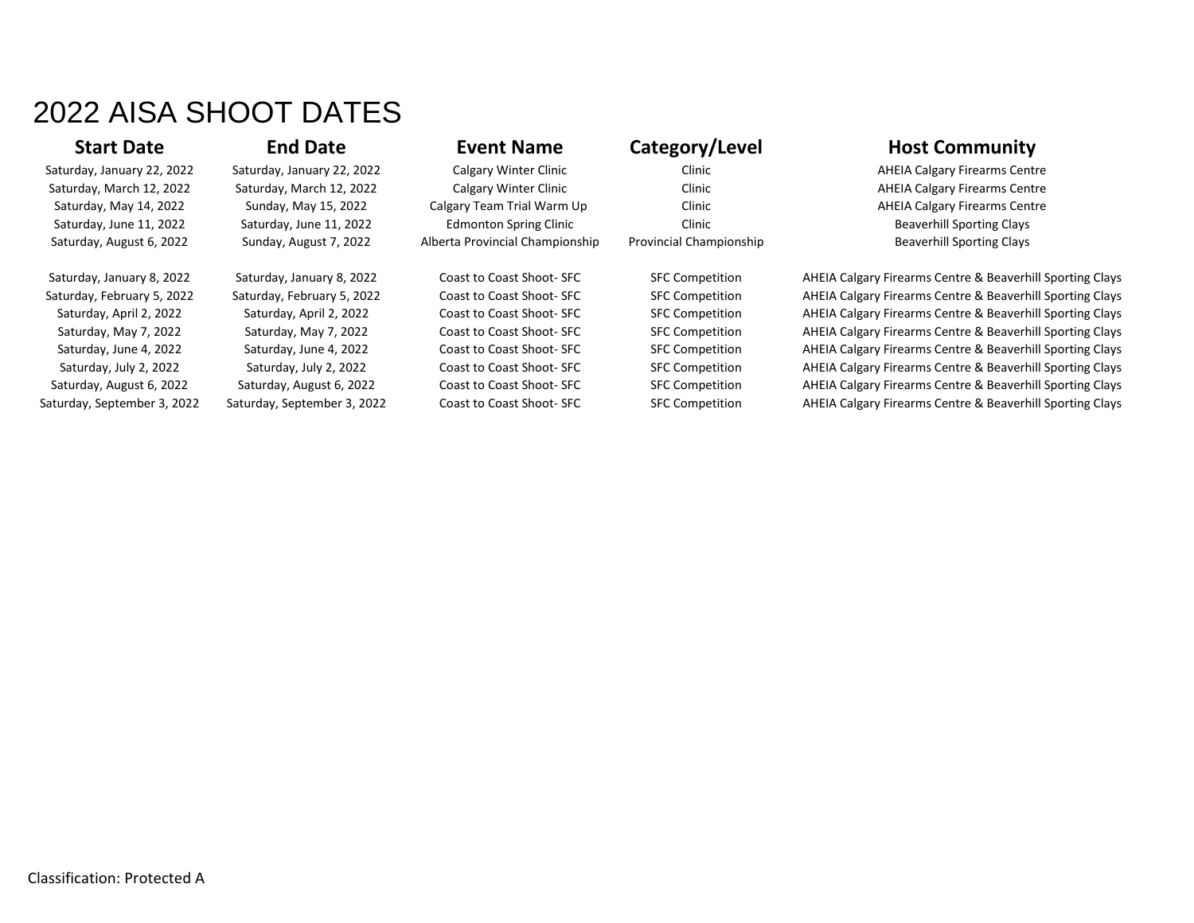# 2022 AISA SHOOT DATES

Saturday, January 22, 2022 Saturday, January 22, 2022 Calgary Winter Clinic Clinic Clinic Clinic AHEIA Calgary Firearms Centre Saturday, March 12, 2022 Saturday, March 12, 2022 Calgary Winter Clinic Clinic Clinic Clinic AHEIA Calgary Firearms Centre Saturday, May 14, 2022 Sunday, May 15, 2022 Calgary Team Trial Warm Up Clinic Clinic AHEIA Calgary Firearms Centre Saturday, June 11, 2022 Saturday, June 11, 2022 Edmonton Spring Clinic Clinic Clinic Beaverhill Sporting Clays Saturday, August 6, 2022 Sunday, August 7, 2022 Alberta Provincial Championship Provincial Championship Beaverhill Sporting Clays

## **Start Date End Date Event Name Category/Level <b>Host Community**

Saturday, January 8, 2022 Saturday, January 8, 2022 Coast to Coast Shoot- SFC SFC Competition AHEIA Calgary Firearms Centre & Beaverhill Sporting Clays Saturday, February 5, 2022 Saturday, February 5, 2022 Coast to Coast Shoot- SFC Competition AHEIA Calgary Firearms Centre & Beaverhill Sporting Clays Saturday, April 2, 2022 Saturday, April 2, 2022 Coast to Coast Shoot- SFC Competition AHEIA Calgary Firearms Centre & Beaverhill Sporting Clays Saturday, May 7, 2022 Saturday, May 7, 2022 Coast to Coast Shoot- SFC Competition AHEIA Calgary Firearms Centre & Beaverhill Sporting Clays Saturday, June 4, 2022 Saturday, June 4, 2022 Coast to Coast Shoot- SFC SEC Competition AHEIA Calgary Firearms Centre & Beaverhill Sporting Clays Saturday, July 2, 2022 Saturday, July 2, 2022 Coast to Coast Shoot- SFC SFC Competition AHEIA Calgary Firearms Centre & Beaverhill Sporting Clays Saturday, August 6, 2022 Saturday, August 6, 2022 Coast to Coast Shoot- SFC SFC Competition AHEIA Calgary Firearms Centre & Beaverhill Sporting Clays Saturday, September 3, 2022 Saturday, September 3, 2022 Coast to Coast Shoot- SFC Competition AHEIA Calgary Firearms Centre & Beaverhill Sporting Clays